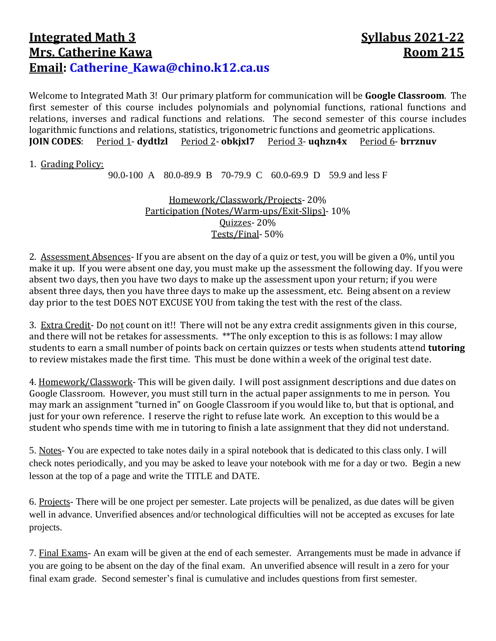## **Integrated Math 3** Syllabus 2021-22 **Mrs. Catherine Kawa Room 215 Email: [Catherine\\_Kawa@chino.k12.ca.us](mailto:Catherine_Kawa@chino.k12.ca.us)**

Welcome to Integrated Math 3! Our primary platform for communication will be **Google Classroom**. The first semester of this course includes polynomials and polynomial functions, rational functions and relations, inverses and radical functions and relations. The second semester of this course includes logarithmic functions and relations, statistics, trigonometric functions and geometric applications. **JOIN CODES**: Period 1- **dydtlzl** Period 2- **obkjxl7** Period 3- **uqhzn4x** Period 6- **brrznuv**

## 1. Grading Policy:

90.0-100 A 80.0-89.9 B 70-79.9 C 60.0-69.9 D 59.9 and less F

Homework/Classwork/Projects- 20% Participation (Notes/Warm-ups/Exit-Slips)- 10% Quizzes- 20% Tests/Final- 50%

2. Assessment Absences- If you are absent on the day of a quiz or test, you will be given a 0%, until you make it up. If you were absent one day, you must make up the assessment the following day. If you were absent two days, then you have two days to make up the assessment upon your return; if you were absent three days, then you have three days to make up the assessment, etc. Being absent on a review day prior to the test DOES NOT EXCUSE YOU from taking the test with the rest of the class.

3. Extra Credit- Do not count on it!! There will not be any extra credit assignments given in this course, and there will not be retakes for assessments. \*\*The only exception to this is as follows: I may allow students to earn a small number of points back on certain quizzes or tests when students attend **tutoring** to review mistakes made the first time. This must be done within a week of the original test date.

4. Homework/Classwork- This will be given daily. I will post assignment descriptions and due dates on Google Classroom. However, you must still turn in the actual paper assignments to me in person. You may mark an assignment "turned in" on Google Classroom if you would like to, but that is optional, and just for your own reference. I reserve the right to refuse late work. An exception to this would be a student who spends time with me in tutoring to finish a late assignment that they did not understand.

5. Notes- You are expected to take notes daily in a spiral notebook that is dedicated to this class only. I will check notes periodically, and you may be asked to leave your notebook with me for a day or two. Begin a new lesson at the top of a page and write the TITLE and DATE.

6. Projects- There will be one project per semester. Late projects will be penalized, as due dates will be given well in advance. Unverified absences and/or technological difficulties will not be accepted as excuses for late projects.

7. Final Exams- An exam will be given at the end of each semester. Arrangements must be made in advance if you are going to be absent on the day of the final exam. An unverified absence will result in a zero for your final exam grade. Second semester's final is cumulative and includes questions from first semester.